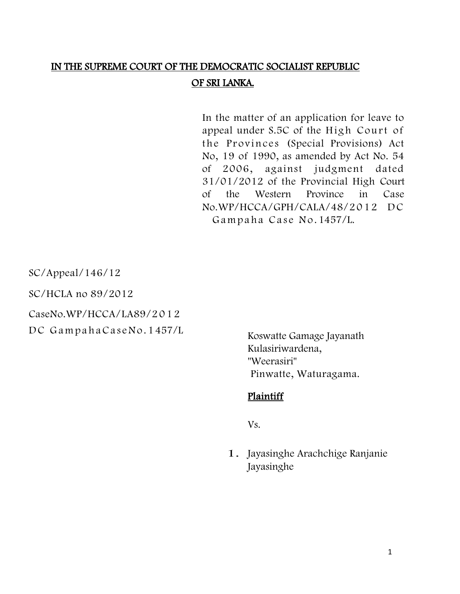# IN THE SUPREME COURT OF THE DEMOCRATIC SOCIALIST REPUBLIC OF SRI LANKA.

In the matter of an application for leave to appeal under S.5C of the High Court of the Provinces (Special Provisions) Act No, 19 of 1990, as amended by Act No. 54 of 2006, against judgment dated 31/01/2012 of the Provincial High Court of the Western Province in Case No.WP/HCCA/GPH/CALA/48/2012 DC Gampaha Case No. 1457/L.

SC/Appeal/146/12

SC/HCLA no 89/2012

CaseNo.WP/HCCA/LA89/2 0 1 2

DC GampahaCaseNo. 1457/L

Koswatte Gamage Jayanath Kulasiriwardena, "Weerasiri" Pinwatte, Waturagama.

#### Plaintiff

Vs.

1. Jayasinghe Arachchige Ranjanie Jayasinghe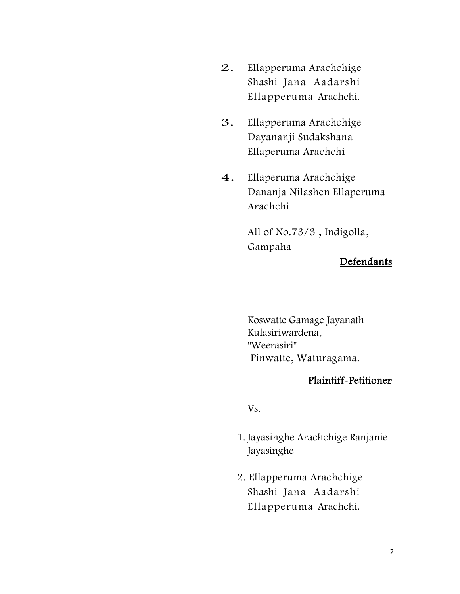- 2. Ellapperuma Arachchige Shashi Jana Aadarshi Ellapperuma Arachchi.
- 3. Ellapperuma Arachchige Dayananji Sudakshana Ellaperuma Arachchi
- 4. Ellaperuma Arachchige Dananja Nilashen Ellaperuma Arachchi

All of No.73/3 , Indigolla, Gampaha

### Defendants

Koswatte Gamage Jayanath Kulasiriwardena, "Weerasiri" Pinwatte, Waturagama.

### Plaintiff-Petitioner

Vs.

- 1. Jayasinghe Arachchige Ranjanie Jayasinghe
- 2. Ellapperuma Arachchige Shashi Jana Aadarshi Ellapperuma Arachchi.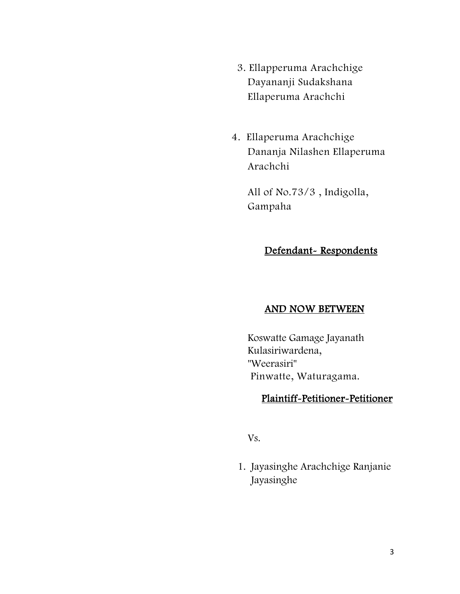- 3. Ellapperuma Arachchige Dayananji Sudakshana Ellaperuma Arachchi
- 4. Ellaperuma Arachchige Dananja Nilashen Ellaperuma Arachchi

All of No.73/3 , Indigolla, Gampaha

### Defendant-Respondents

### AND NOW BETWEEN

Koswatte Gamage Jayanath Kulasiriwardena, "Weerasiri" Pinwatte, Waturagama.

### Plaintiff-Petitioner-Petitioner

Vs.

1. Jayasinghe Arachchige Ranjanie Jayasinghe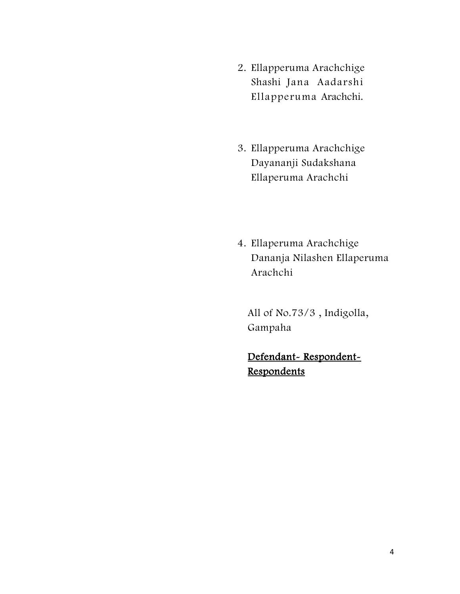- 2. Ellapperuma Arachchige Shashi Jana Aadarshi Ellapperuma Arachchi.
- 3. Ellapperuma Arachchige Dayananji Sudakshana Ellaperuma Arachchi
- 4. Ellaperuma Arachchige Dananja Nilashen Ellaperuma Arachchi

All of No.73/3 , Indigolla, Gampaha

Defendant-Respondent-**Respondents**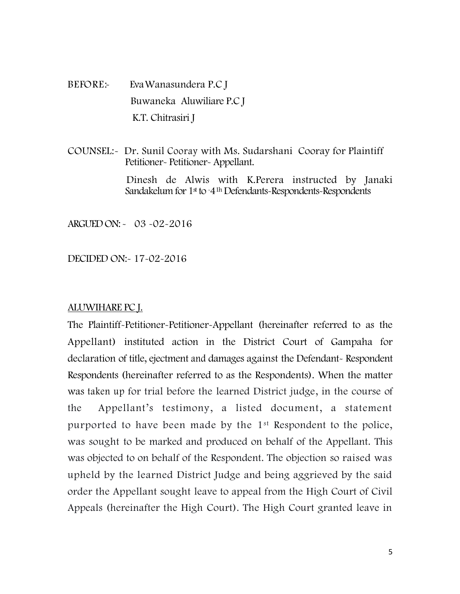BEFORE: Eva Wanasundera P.C J Buwaneka Aluwiliare P.C J K.T. Chitrasiri J

COUNSEL:- Dr. Sunil Cooray with Ms. Sudarshani Cooray for Plaintiff Petitioner- Petitioner- Appellant.

> Dinesh de Alwis with K.Perera instructed by Janaki Sandakelum for 1<sup>st</sup> to -4<sup>1h</sup> Defendants-Respondents-Respondents

ARGUED ON: - 03 -02-2016

DECIDED ON:- 17-02-2016

#### ALUWIHARE PC J.

The Plaintiff-Petitioner-Petitioner-Appellant (hereinafter referred to as the Appellant) instituted action in the District Court of Gampaha for declaration of title, ejectment and damages against the Defendant- Respondent Respondents (hereinafter referred to as the Respondents). When the matter was taken up for trial before the learned District judge, in the course of the Appellant's testimony, a listed document, a statement purported to have been made by the 1st Respondent to the police, was sought to be marked and produced on behalf of the Appellant. This was objected to on behalf of the Respondent. The objection so raised was upheld by the learned District Judge and being aggrieved by the said order the Appellant sought leave to appeal from the High Court of Civil Appeals (hereinafter the High Court). The High Court granted leave in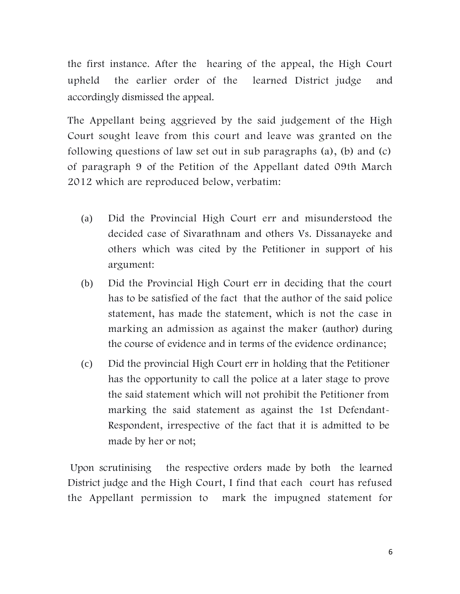the first instance. After the hearing of the appeal, the High Court upheld the earlier order of the learned District judge and accordingly dismissed the appeal.

The Appellant being aggrieved by the said judgement of the High Court sought leave from this court and leave was granted on the following questions of law set out in sub paragraphs (a), (b) and (c) of paragraph 9 of the Petition of the Appellant dated 09th March 2012 which are reproduced below, verbatim:

- (a) Did the Provincial High Court err and misunderstood the decided case of Sivarathnam and others Vs. Dissanayeke and others which was cited by the Petitioner in support of his argument:
- (b) Did the Provincial High Court err in deciding that the court has to be satisfied of the fact that the author of the said police statement, has made the statement, which is not the case in marking an admission as against the maker (author) during the course of evidence and in terms of the evidence ordinance;
- (c) Did the provincial High Court err in holding that the Petitioner has the opportunity to call the police at a later stage to prove the said statement which will not prohibit the Petitioner from marking the said statement as against the 1st Defendant-Respondent, irrespective of the fact that it is admitted to be made by her or not;

Upon scrutinising the respective orders made by both the learned District judge and the High Court, I find that each court has refused the Appellant permission to mark the impugned statement for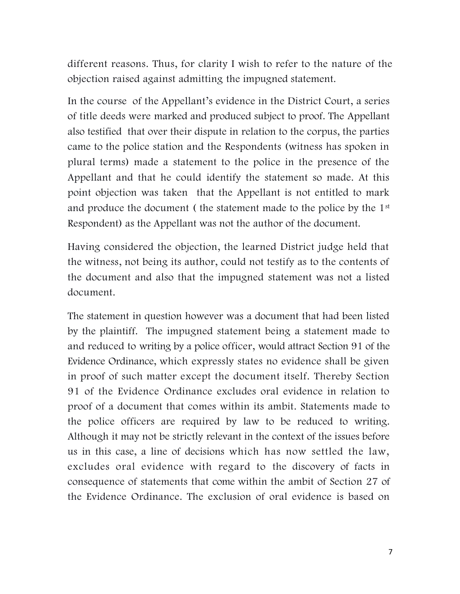different reasons. Thus, for clarity I wish to refer to the nature of the objection raised against admitting the impugned statement.

In the course of the Appellant's evidence in the District Court, a series of title deeds were marked and produced subject to proof. The Appellant also testified that over their dispute in relation to the corpus, the parties came to the police station and the Respondents (witness has spoken in plural terms) made a statement to the police in the presence of the Appellant and that he could identify the statement so made. At this point objection was taken that the Appellant is not entitled to mark and produce the document ( the statement made to the police by the 1st Respondent) as the Appellant was not the author of the document.

Having considered the objection, the learned District judge held that the witness, not being its author, could not testify as to the contents of the document and also that the impugned statement was not a listed document.

The statement in question however was a document that had been listed by the plaintiff. The impugned statement being a statement made to and reduced to writing by a police officer, would attract Section 91 of the Evidence Ordinance, which expressly states no evidence shall be given in proof of such matter except the document itself. Thereby Section 91 of the Evidence Ordinance excludes oral evidence in relation to proof of a document that comes within its ambit. Statements made to the police officers are required by law to be reduced to writing. Although it may not be strictly relevant in the context of the issues before us in this case, a line of decisions which has now settled the law, excludes oral evidence with regard to the discovery of facts in consequence of statements that come within the ambit of Section 27 of the Evidence Ordinance. The exclusion of oral evidence is based on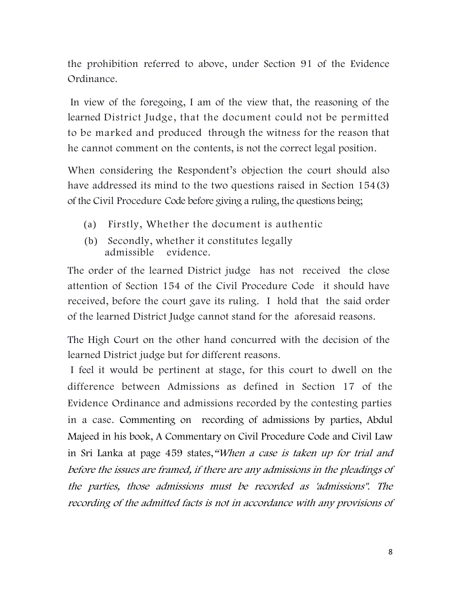the prohibition referred to above, under Section 91 of the Evidence Ordinance.

In view of the foregoing, I am of the view that, the reasoning of the learned District Judge, that the document could not be permitted to be marked and produced through the witness for the reason that he cannot comment on the contents, is not the correct legal position.

When considering the Respondent's objection the court should also have addressed its mind to the two questions raised in Section 154(3) of the Civil Procedure Code before giving a ruling, the questions being;

- (a) Firstly, Whether the document is authentic
- (b) Secondly, whether it constitutes legally admissible evidence.

The order of the learned District judge has not received the close attention of Section 154 of the Civil Procedure Code it should have received, before the court gave its ruling. I hold that the said order of the learned District Judge cannot stand for the aforesaid reasons.

The High Court on the other hand concurred with the decision of the learned District judge but for different reasons.

I feel it would be pertinent at stage, for this court to dwell on the difference between Admissions as defined in Section 17 of the Evidence Ordinance and admissions recorded by the contesting parties in a case. Commenting on recording of admissions by parties, Abdul Majeed in his book, A Commentary on Civil Procedure Code and Civil Law in Sri Lanka at page 459 states,"When a case is taken up for trial and before the issues are framed, if there are any admissions in the pleadings of the parties, those admissions must be recorded as 'admissions". The recording of the admitted facts is not in accordance with any provisions of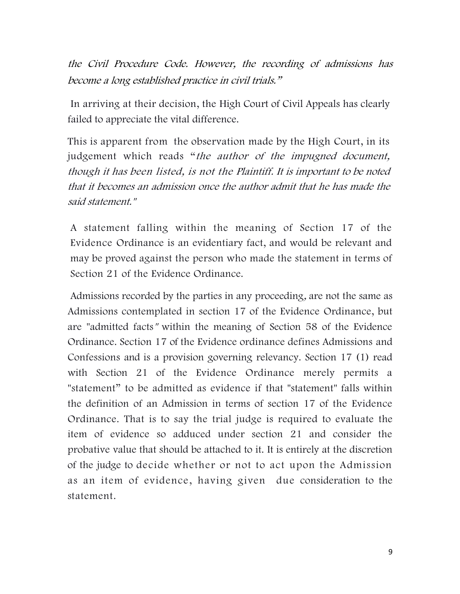the Civil Procedure Code. However, the recording of admissions has become a long established practice in civil trials."

In arriving at their decision, the High Court of Civil Appeals has clearly failed to appreciate the vital difference.

This is apparent from the observation made by the High Court, in its judgement which reads "the author of the impugned document, though it has been listed, is not the Plaintiff. It is important to be noted that it becomes an admission once the author admit that he has made the said statement."

A statement falling within the meaning of Section 17 of the Evidence Ordinance is an evidentiary fact, and would be relevant and may be proved against the person who made the statement in terms of Section 21 of the Evidence Ordinance.

Admissions recorded by the parties in any proceeding, are not the same as Admissions contemplated in section 17 of the Evidence Ordinance, but are "admitted facts" within the meaning of Section 58 of the Evidence Ordinance. Section 17 of the Evidence ordinance defines Admissions and Confessions and is a provision governing relevancy. Section 17 (1) read with Section 21 of the Evidence Ordinance merely permits a "statement" to be admitted as evidence if that "statement" falls within the definition of an Admission in terms of section 17 of the Evidence Ordinance. That is to say the trial judge is required to evaluate the item of evidence so adduced under section 21 and consider the probative value that should be attached to it. It is entirely at the discretion of the judge to decide whether or not to act upon the Admission as an item of evidence, having given due consideration to the statement.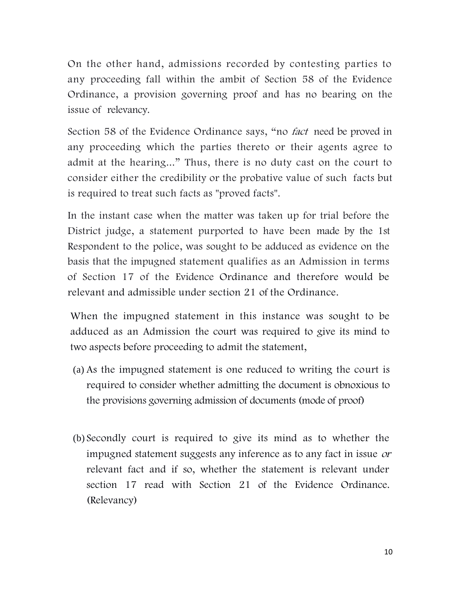On the other hand, admissions recorded by contesting parties to any proceeding fall within the ambit of Section 58 of the Evidence Ordinance, a provision governing proof and has no bearing on the issue of relevancy.

Section 58 of the Evidence Ordinance says, "no *fact* need be proved in any proceeding which the parties thereto or their agents agree to admit at the hearing..." Thus, there is no duty cast on the court to consider either the credibility or the probative value of such facts but is required to treat such facts as "proved facts".

In the instant case when the matter was taken up for trial before the District judge, a statement purported to have been made by the 1st Respondent to the police, was sought to be adduced as evidence on the basis that the impugned statement qualifies as an Admission in terms of Section 17 of the Evidence Ordinance and therefore would be relevant and admissible under section 21 of the Ordinance.

When the impugned statement in this instance was sought to be adduced as an Admission the court was required to give its mind to two aspects before proceeding to admit the statement,

- (a) As the impugned statement is one reduced to writing the court is required to consider whether admitting the document is obnoxious to the provisions governing admission of documents (mode of proof)
- (b) Secondly court is required to give its mind as to whether the impugned statement suggests any inference as to any fact in issue or relevant fact and if so, whether the statement is relevant under section 17 read with Section 21 of the Evidence Ordinance. (Relevancy)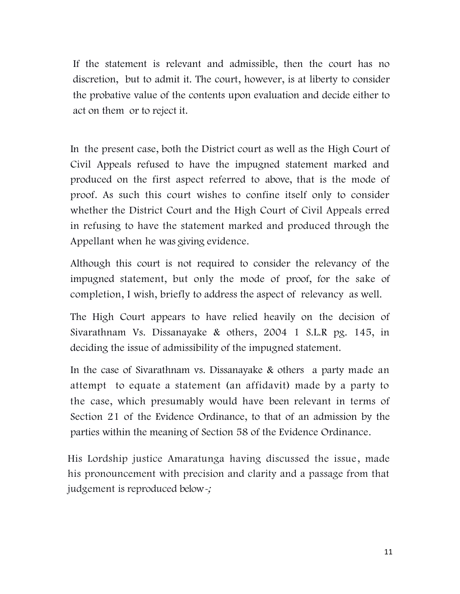If the statement is relevant and admissible, then the court has no discretion, but to admit it. The court, however, is at liberty to consider the probative value of the contents upon evaluation and decide either to act on them or to reject it.

In the present case, both the District court as well as the High Court of Civil Appeals refused to have the impugned statement marked and produced on the first aspect referred to above, that is the mode of proof. As such this court wishes to confine itself only to consider whether the District Court and the High Court of Civil Appeals erred in refusing to have the statement marked and produced through the Appellant when he was giving evidence.

Although this court is not required to consider the relevancy of the impugned statement, but only the mode of proof, for the sake of completion, I wish, briefly to address the aspect of relevancy as well.

The High Court appears to have relied heavily on the decision of Sivarathnam Vs. Dissanayake & others, 2004 1 S.L.R pg. 145, in deciding the issue of admissibility of the impugned statement.

In the case of Sivarathnam vs. Dissanayake & others a party made an attempt to equate a statement (an affidavit) made by a party to the case, which presumably would have been relevant in terms of Section 21 of the Evidence Ordinance, to that of an admission by the parties within the meaning of Section 58 of the Evidence Ordinance.

His Lordship justice Amaratunga having discussed the issue, made his pronouncement with precision and clarity and a passage from that judgement is reproduced below-;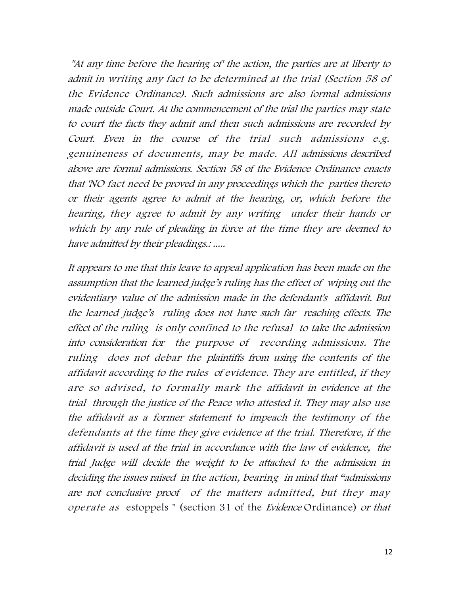"At any time before the hearing of' the action, the parties are at liberty to admit in writing any fact to be determined at the trial (Section 58 of the Evidence Ordinance). Such admissions are also formal admissions made outside Court. At the commencement of the trial the parties may state to court the facts they admit and then such admissions are recorded by Court. Even in the course of the trial such admissions e.g. genuineness of documents, may be made. All admissions described above are formal admissions. Section 58 of the Evidence Ordinance enacts that 'NO fact need be proved in any proceedings which the parties thereto or their agents agree to admit at the hearing, or, which before the hearing, they agree to admit by any writing under their hands or which by any rule of pleading in force at the time they are deemed to have admitted by their pleadings.: .....

It appears to me that this leave to appeal application has been made on the assumption that the learned judge's ruling has the effect of wiping out the evidentiary , value of the admission made in the defendant's affidavit. But the learned judge's ruling does not have such far reaching effects. The effect of the ruling is only confined to the refusal to take the admission into consideration for the purpose of recording admissions. The ruling does not debar the plaintiffs from using the contents of the affidavit according to the rules of evidence. They are entitled, if they are so advised, to formally mark the affidavit in evidence at the trial through the justice of the Peace who attested it. They may also use the affidavit as a former statement to impeach the testimony of the defendants at the time they give evidence at the trial. Therefore, if the affidavit is used at the trial in accordance with the law of evidence, the trial Judge will decide the weight to be attached to the admission in deciding the issues raised in the action, bearing in mind that "admissions are not conclusive proof of the matters admitted, but they may operate as estoppels " (section 31 of the Evidence Ordinance) or that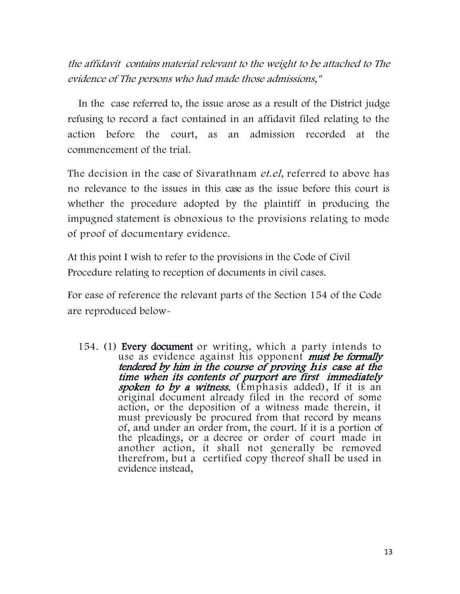the affidavit contains material relevant to the weight to be attached to The evidence of The persons who had made those admissions,"

In the case referred to, the issue arose as a result of the District judge refusing to record a fact contained in an affidavit filed relating to the action before the court, as an admission recorded at the commencement of the trial.

The decision in the case of Sivarathnam *et.el*, referred to above has no relevance to the issues in this case as the issue before this court is whether the procedure adopted by the plaintiff in producing the impugned statement is obnoxious to the provisions relating to mode of proof of documentary evidence.

At this point I wish to refer to the provisions in the Code of Civil Procedure relating to reception of documents in civil cases.

For ease of reference the relevant parts of the Section 154 of the Code are reproduced below-

154. (1) Every document or writing, which a party intends to use as evidence against his opponent must be formally tendered by him in the course of proving his case at the time when its contents of purport are first immediately spoken to by a witness. (Emphasis added), If it is an original document already filed in the record of some action, or the deposition of a witness made therein, it must previously be procured from that record by means of, and under an order from, the court. If it is a portion of the pleadings, or a decree or order of court made in another action, it shall not generally be removed therefrom, but a certified copy thereof shall be used in evidence instead,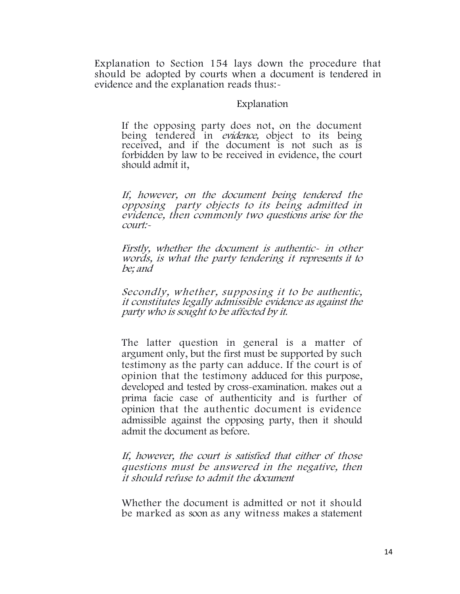Explanation to Section 154 lays down the procedure that should be adopted by courts when a document is tendered in evidence and the explanation reads thus:-

#### Explanation

If the opposing party does not, on the document being tendered in *evidence*, object to its being received, and if the document is not such as is forbidden by law to be received in evidence, the court should admit it,

If, however, on the document being tendered the opposing party objects to its being admitted in evidence, then commonly two questions arise for the court:-

Firstly, whether the document is authentic- in other words, is what the party tendering it represents it to be; and

Secondly, whether, supposing it to be authentic, it constitutes legally admissible evidence as against the party who is sought to be affected by it.

The latter question in general is a matter of argument only, but the first must be supported by such testimony as the party can adduce. If the court is of opinion that the testimony adduced for this purpose, developed and tested by cross-examination. makes out a prima facie case of authenticity and is further of opinion that the authentic document is evidence admissible against the opposing party, then it should admit the document as before.

If, however, the court is satisfied that either of those questions must be answered in the negative, then it should refuse to admit the document

Whether the document is admitted or not it should be marked as soon as any witness makes a statement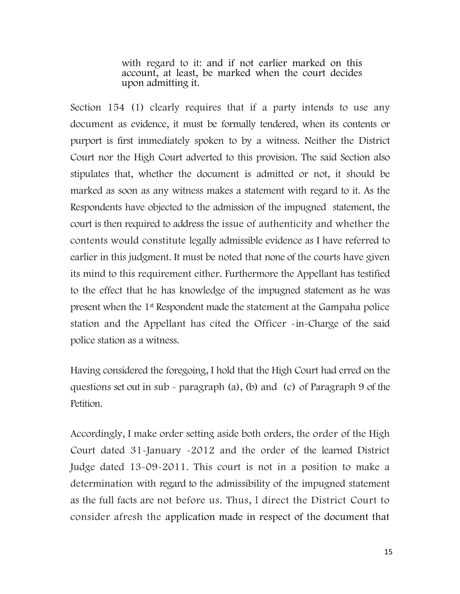with regard to it: and if not earlier marked on this account, at least, be marked when the court decides upon admitting it.

Section 154 (1) clearly requires that if a party intends to use any document as evidence, it must be formally tendered, when its contents or purport is first immediately spoken to by a witness. Neither the District Court nor the High Court adverted to this provision. The said Section also stipulates that, whether the document is admitted or not, it should be marked as soon as any witness makes a statement with regard to it. As the Respondents have objected to the admission of the impugned statement, the court is then required to address the issue of authenticity and whether the contents would constitute legally admissible evidence as I have referred to earlier in this judgment. It must be noted that none of the courts have given its mind to this requirement either. Furthermore the Appellant has testified to the effect that he has knowledge of the impugned statement as he was present when the 1st Respondent made the statement at the Gampaha police station and the Appellant has cited the Officer -in-Charge of the said police station as a witness.

Having considered the foregoing, I hold that the High Court had erred on the questions set out in sub - paragraph (a), (b) and (c) of Paragraph 9 of the Petition.

Accordingly, I make order setting aside both orders, the order of the High Court dated 31-January -2012 and the order of the learned District Judge dated 13-09-2011. This court is not in a position to make a determination with regard to the admissibility of the impugned statement as the full facts are not before us. Thus, l direct the District Court to consider afresh the application made in respect of the document that